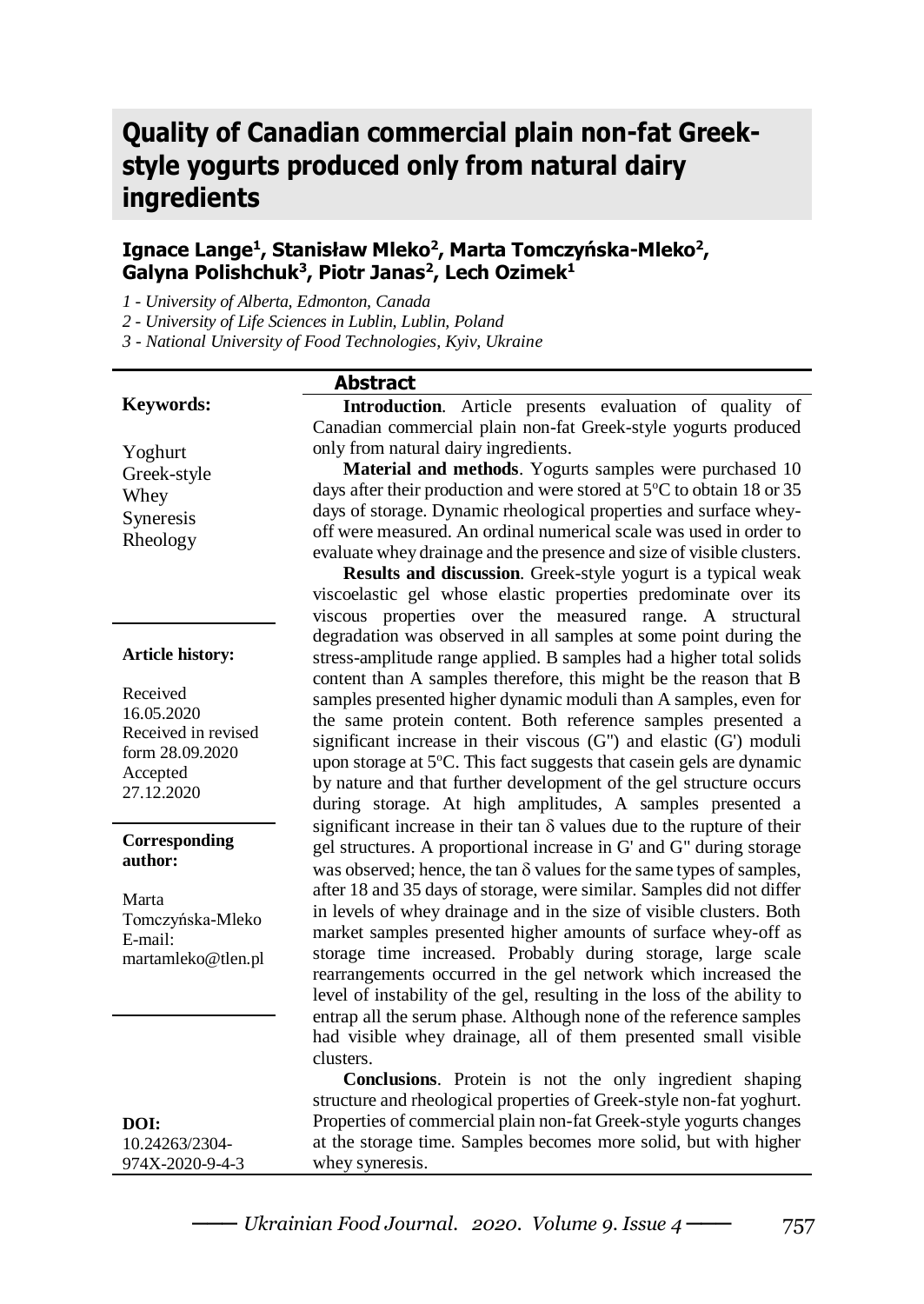# **Quality of Canadian commercial plain non-fat Greekstyle yogurts produced only from natural dairy ingredients**

# **Ignace Lange<sup>1</sup> , Stanisław Mleko<sup>2</sup> , Marta Tomczyńska-Mleko<sup>2</sup> , Galyna Polishchuk<sup>3</sup> , Piotr Janas<sup>2</sup> , Lech Ozimek<sup>1</sup>**

*1 - University of Alberta, Edmonton, Canada*

*2 - University of Life Sciences in Lublin, Lublin, Poland*

*3 - National University of Food Technologies, Kyiv, Ukraine*

#### **Keywords:**

Yoghurt Greek-style Whey Syneresis Rheology

#### **Article history:**

Received 16.05.2020 Received in revised form 28.09.2020 Accepted 27.12.2020

#### **Corresponding author:**

Marta Tomczyńska-Mleko E-mail: martamleko@tlen.pl

**DOI:** 10.24263/2304- 974X-2020-9-4-3

# **Abstract**

**Introduction**. Article presents evaluation of quality of Canadian commercial plain non-fat Greek-style yogurts produced only from natural dairy ingredients.

**Material and methods**. Yogurts samples were purchased 10 days after their production and were stored at  $5^{\circ}$ C to obtain 18 or 35 days of storage. Dynamic rheological properties and surface wheyoff were measured. An ordinal numerical scale was used in order to evaluate whey drainage and the presence and size of visible clusters.

**Results and discussion**. Greek-style yogurt is a typical weak viscoelastic gel whose elastic properties predominate over its viscous properties over the measured range. A structural degradation was observed in all samples at some point during the stress-amplitude range applied. B samples had a higher total solids content than A samples therefore, this might be the reason that B samples presented higher dynamic moduli than A samples, even for the same protein content. Both reference samples presented a significant increase in their viscous  $(G')$  and elastic  $(G')$  moduli upon storage at  $5^{\circ}$ C. This fact suggests that case in gels are dynamic by nature and that further development of the gel structure occurs during storage. At high amplitudes, A samples presented a significant increase in their tan  $\delta$  values due to the rupture of their gel structures. A proportional increase in G' and G" during storage was observed; hence, the tan  $\delta$  values for the same types of samples, after 18 and 35 days of storage, were similar. Samples did not differ in levels of whey drainage and in the size of visible clusters. Both market samples presented higher amounts of surface whey-off as storage time increased. Probably during storage, large scale rearrangements occurred in the gel network which increased the level of instability of the gel, resulting in the loss of the ability to entrap all the serum phase. Although none of the reference samples had visible whey drainage, all of them presented small visible clusters.

**Conclusions**. Protein is not the only ingredient shaping structure and rheological properties of Greek-style non-fat yoghurt. Properties of commercial plain non-fat Greek-style yogurts changes at the storage time. Samples becomes more solid, but with higher whey syneresis.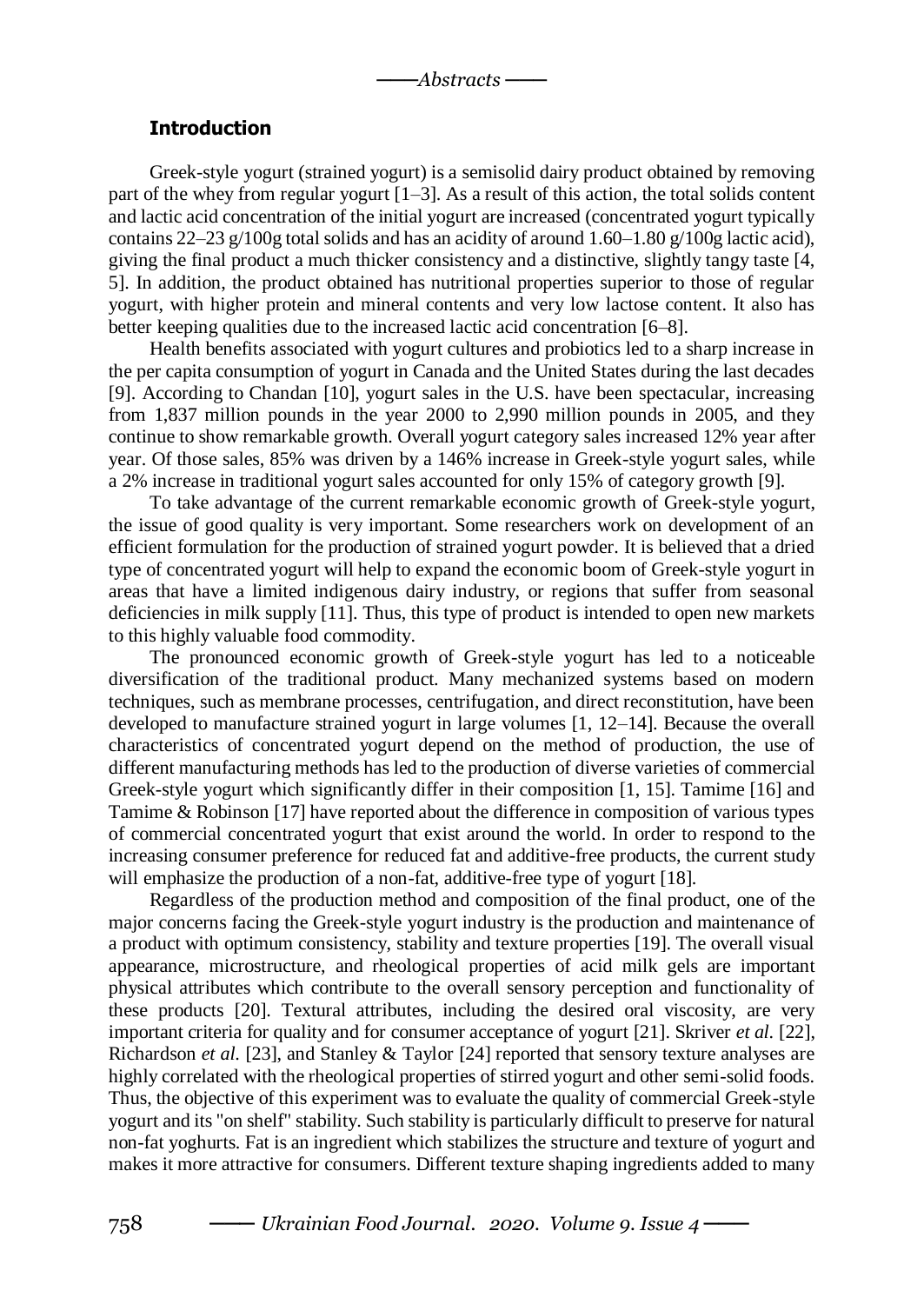### **Introduction**

Greek-style yogurt (strained yogurt) is a semisolid dairy product obtained by removing part of the whey from regular yogurt [1–3]. As a result of this action, the total solids content and lactic acid concentration of the initial yogurt are increased (concentrated yogurt typically contains  $22-23$  g/100g total solids and has an acidity of around  $1.60-1.80$  g/100g lactic acid), giving the final product a much thicker consistency and a distinctive, slightly tangy taste [4, 5]. In addition, the product obtained has nutritional properties superior to those of regular yogurt, with higher protein and mineral contents and very low lactose content. It also has better keeping qualities due to the increased lactic acid concentration [6–8].

Health benefits associated with yogurt cultures and probiotics led to a sharp increase in the per capita consumption of yogurt in Canada and the United States during the last decades [9]. According to Chandan [10], yogurt sales in the U.S. have been spectacular, increasing from 1,837 million pounds in the year 2000 to 2,990 million pounds in 2005, and they continue to show remarkable growth. Overall yogurt category sales increased 12% year after year. Of those sales, 85% was driven by a 146% increase in Greek-style yogurt sales, while a 2% increase in traditional yogurt sales accounted for only 15% of category growth [9].

To take advantage of the current remarkable economic growth of Greek-style yogurt, the issue of good quality is very important. Some researchers work on development of an efficient formulation for the production of strained yogurt powder. It is believed that a dried type of concentrated yogurt will help to expand the economic boom of Greek-style yogurt in areas that have a limited indigenous dairy industry, or regions that suffer from seasonal deficiencies in milk supply [11]. Thus, this type of product is intended to open new markets to this highly valuable food commodity.

The pronounced economic growth of Greek-style yogurt has led to a noticeable diversification of the traditional product. Many mechanized systems based on modern techniques, such as membrane processes, centrifugation, and direct reconstitution, have been developed to manufacture strained yogurt in large volumes [1, 12–14]. Because the overall characteristics of concentrated yogurt depend on the method of production, the use of different manufacturing methods has led to the production of diverse varieties of commercial Greek-style yogurt which significantly differ in their composition [1, 15]. Tamime [16] and Tamime & Robinson [17] have reported about the difference in composition of various types of commercial concentrated yogurt that exist around the world. In order to respond to the increasing consumer preference for reduced fat and additive-free products, the current study will emphasize the production of a non-fat, additive-free type of yogurt [18].

Regardless of the production method and composition of the final product, one of the major concerns facing the Greek-style yogurt industry is the production and maintenance of a product with optimum consistency, stability and texture properties [19]. The overall visual appearance, microstructure, and rheological properties of acid milk gels are important physical attributes which contribute to the overall sensory perception and functionality of these products [20]. Textural attributes, including the desired oral viscosity, are very important criteria for quality and for consumer acceptance of yogurt [21]. Skriver *et al.* [22], Richardson *et al*. [23], and Stanley & Taylor [24] reported that sensory texture analyses are highly correlated with the rheological properties of stirred yogurt and other semi-solid foods. Thus, the objective of this experiment was to evaluate the quality of commercial Greek-style yogurt and its "on shelf" stability. Such stability is particularly difficult to preserve for natural non-fat yoghurts. Fat is an ingredient which stabilizes the structure and texture of yogurt and makes it more attractive for consumers. Different texture shaping ingredients added to many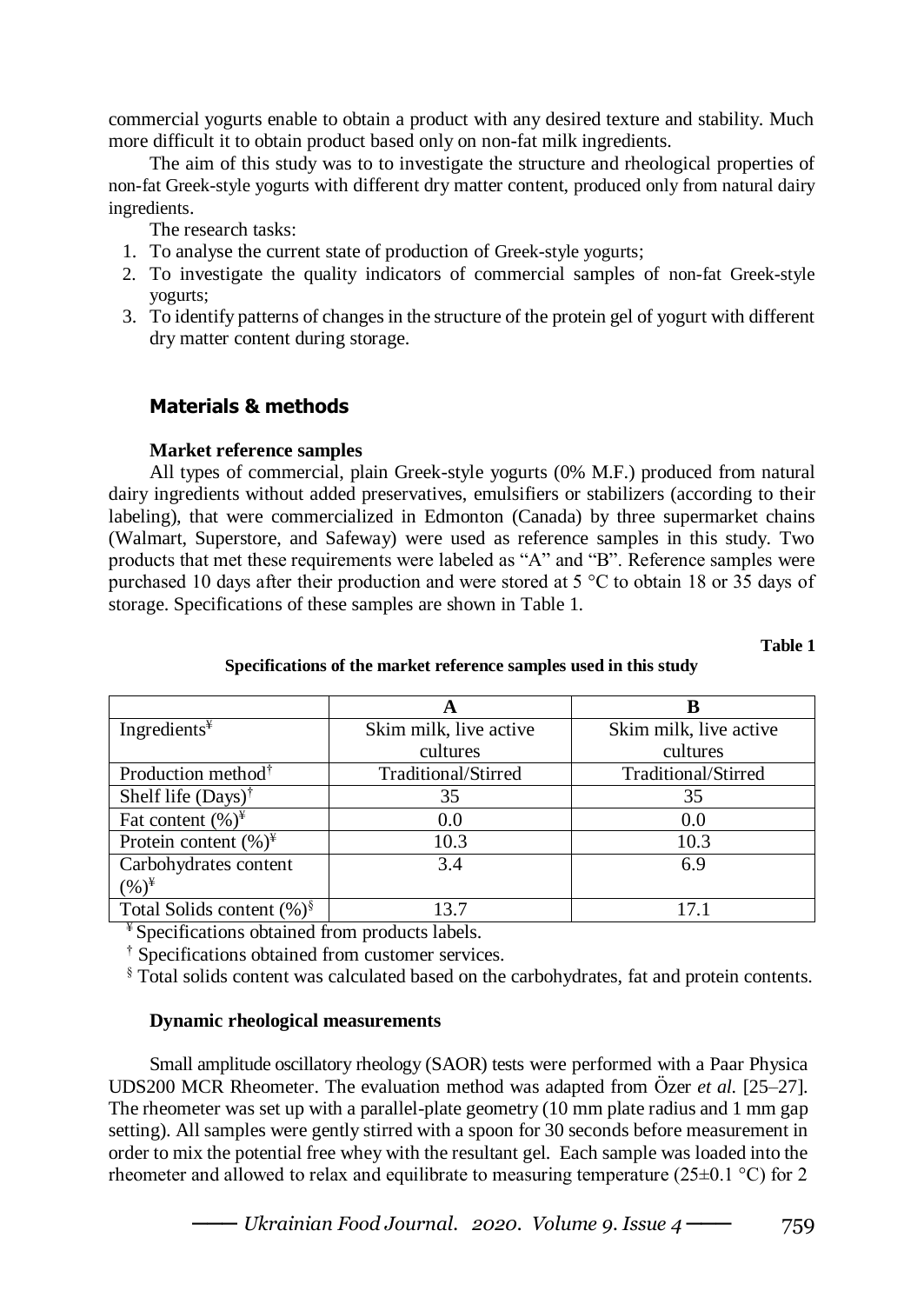commercial yogurts enable to obtain a product with any desired texture and stability. Much more difficult it to obtain product based only on non-fat milk ingredients.

The aim of this study was to to investigate the structure and rheological properties of non-fat Greek-style yogurts with different dry matter content, produced only from natural dairy ingredients.

The research tasks:

- 1. To analyse the current state of production of Greek-style yogurts;
- 2. To investigate the quality indicators of commercial samples of non-fat Greek-style yogurts;
- 3. To identify patterns of changes in the structure of the protein gel of yogurt with different dry matter content during storage.

# **Materials & methods**

## **Market reference samples**

All types of commercial, plain Greek-style yogurts (0% M.F.) produced from natural dairy ingredients without added preservatives, emulsifiers or stabilizers (according to their labeling), that were commercialized in Edmonton (Canada) by three supermarket chains (Walmart, Superstore, and Safeway) were used as reference samples in this study. Two products that met these requirements were labeled as "A" and "B". Reference samples were purchased 10 days after their production and were stored at 5 °C to obtain 18 or 35 days of storage. Specifications of these samples are shown in Table 1.

 **Table 1** 

| Ingredients $*$                      | Skim milk, live active | Skim milk, live active |
|--------------------------------------|------------------------|------------------------|
|                                      | cultures               | cultures               |
| Production method <sup>†</sup>       | Traditional/Stirred    | Traditional/Stirred    |
| Shelf life $(Days)$ <sup>†</sup>     | 35                     | 35                     |
| Fat content $(\%)^{\mathcal{F}}$     | 0.0                    | 0.0                    |
| Protein content $(\%)^{\mathcal{F}}$ | 10.3                   | 10.3                   |
| Carbohydrates content                | 3.4                    | 6.9                    |
| $(\%)^*$                             |                        |                        |
| Total Solids content $(\%)^{\S}$     | 13 7                   |                        |

## **Specifications of the market reference samples used in this study**

¥ Specifications obtained from products labels.

† Specifications obtained from customer services.

§ Total solids content was calculated based on the carbohydrates, fat and protein contents.

## **Dynamic rheological measurements**

Small amplitude oscillatory rheology (SAOR) tests were performed with a Paar Physica UDS200 MCR Rheometer. The evaluation method was adapted from Özer *et al.* [25–27]. The rheometer was set up with a parallel-plate geometry (10 mm plate radius and 1 mm gap setting). All samples were gently stirred with a spoon for 30 seconds before measurement in order to mix the potential free whey with the resultant gel. Each sample was loaded into the rheometer and allowed to relax and equilibrate to measuring temperature (25 $\pm$ 0.1 °C) for 2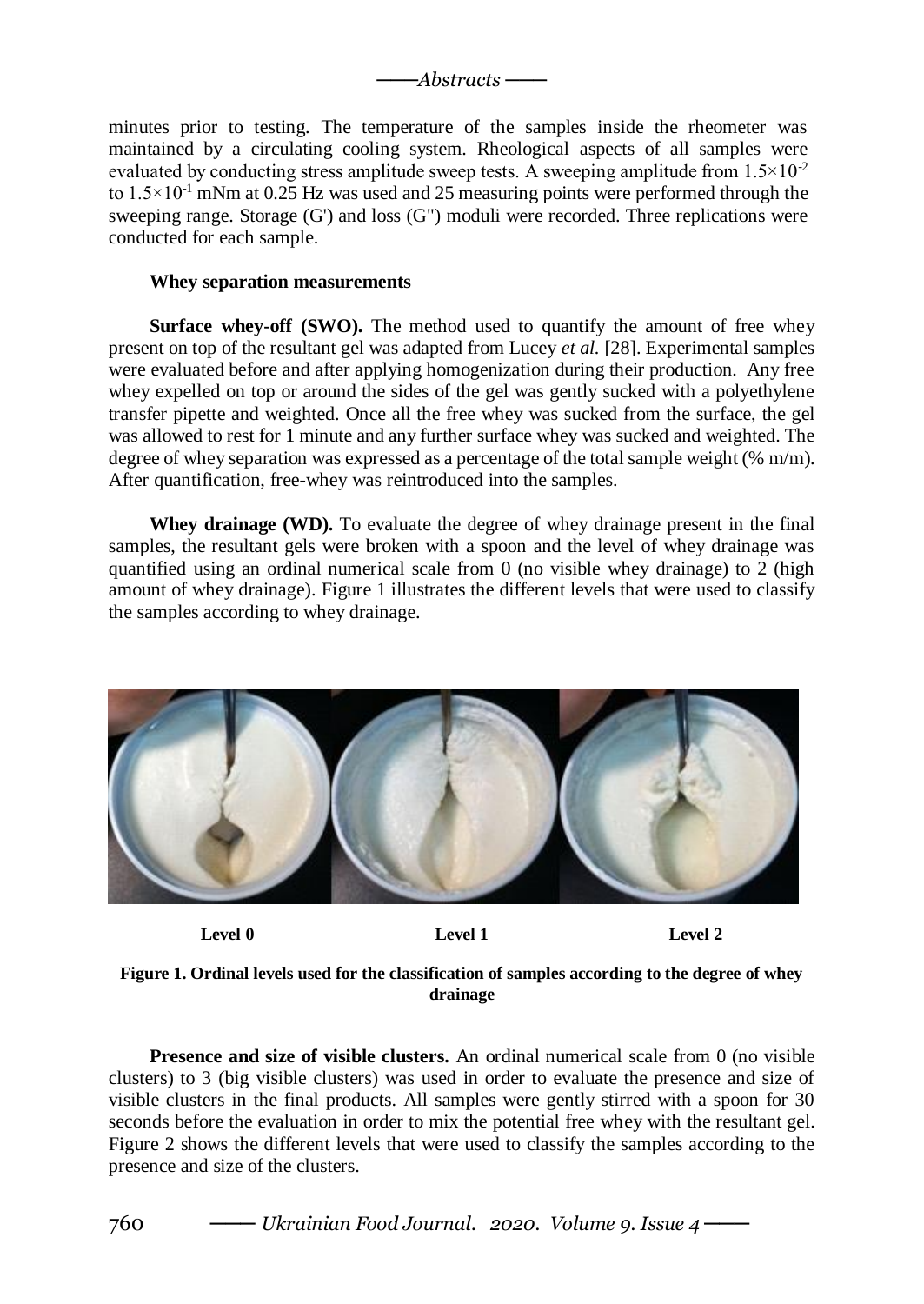*───Abstracts ───*

minutes prior to testing. The temperature of the samples inside the rheometer was maintained by a circulating cooling system. Rheological aspects of all samples were evaluated by conducting stress amplitude sweep tests. A sweeping amplitude from  $1.5 \times 10^{-2}$ to  $1.5 \times 10^{-1}$  mNm at 0.25 Hz was used and 25 measuring points were performed through the sweeping range. Storage (G') and loss (G") moduli were recorded. Three replications were conducted for each sample.

### **Whey separation measurements**

**Surface whey-off (SWO).** The method used to quantify the amount of free whey present on top of the resultant gel was adapted from Lucey *et al.* [28]. Experimental samples were evaluated before and after applying homogenization during their production. Any free whey expelled on top or around the sides of the gel was gently sucked with a polyethylene transfer pipette and weighted. Once all the free whey was sucked from the surface, the gel was allowed to rest for 1 minute and any further surface whey was sucked and weighted. The degree of whey separation was expressed as a percentage of the total sample weight (% m/m). After quantification, free-whey was reintroduced into the samples.

**Whey drainage (WD).** To evaluate the degree of whey drainage present in the final samples, the resultant gels were broken with a spoon and the level of whey drainage was quantified using an ordinal numerical scale from 0 (no visible whey drainage) to 2 (high amount of whey drainage). Figure 1 illustrates the different levels that were used to classify the samples according to whey drainage.



Level 0 Level 1 Level 2

**Figure 1. Ordinal levels used for the classification of samples according to the degree of whey drainage**

**Presence and size of visible clusters.** An ordinal numerical scale from 0 (no visible clusters) to 3 (big visible clusters) was used in order to evaluate the presence and size of visible clusters in the final products. All samples were gently stirred with a spoon for 30 seconds before the evaluation in order to mix the potential free whey with the resultant gel. Figure 2 shows the different levels that were used to classify the samples according to the presence and size of the clusters.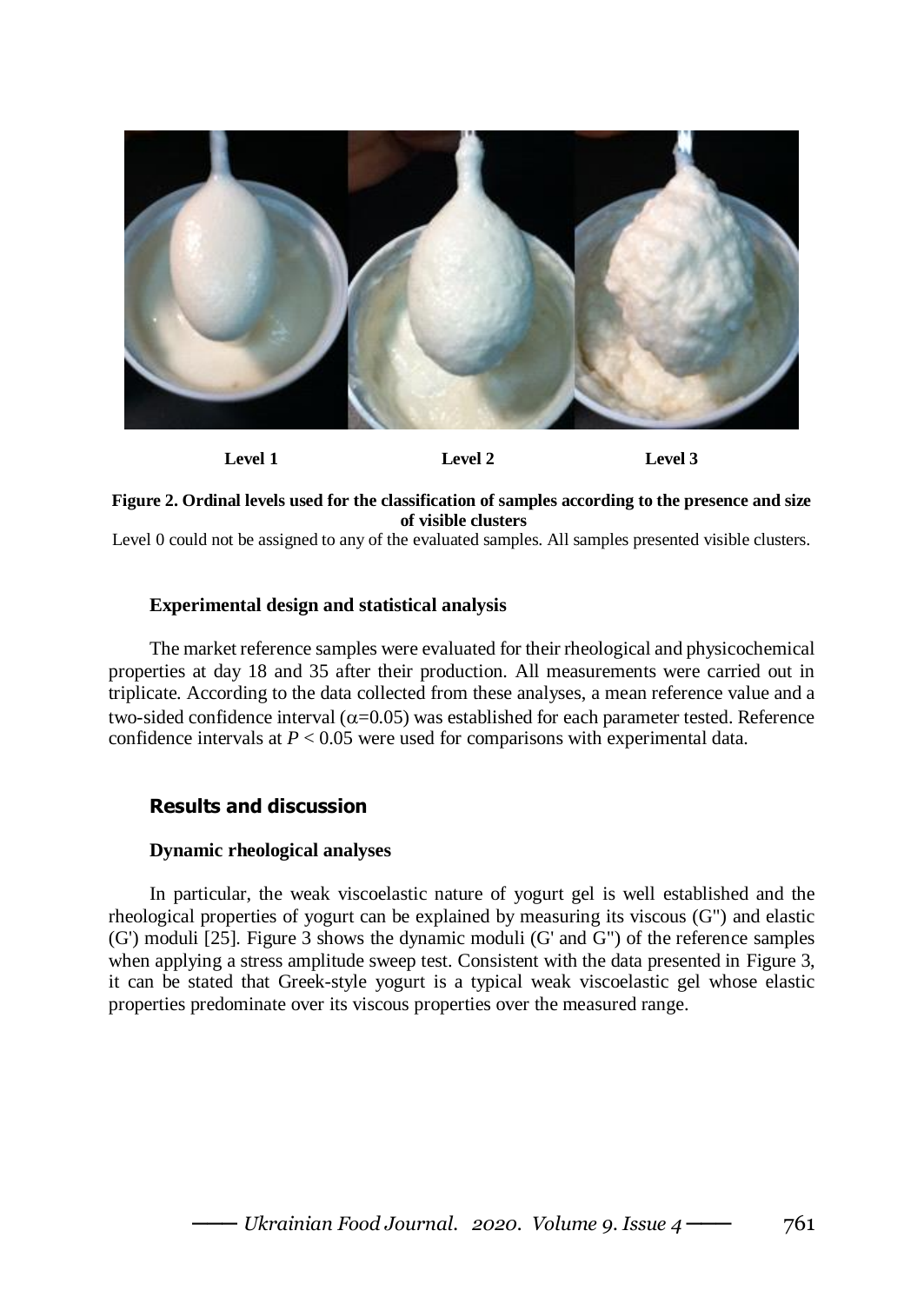

**Figure 2. Ordinal levels used for the classification of samples according to the presence and size of visible clusters**

Level 0 could not be assigned to any of the evaluated samples. All samples presented visible clusters.

## **Experimental design and statistical analysis**

The market reference samples were evaluated for their rheological and physicochemical properties at day 18 and 35 after their production. All measurements were carried out in triplicate. According to the data collected from these analyses, a mean reference value and a two-sided confidence interval ( $\alpha$ =0.05) was established for each parameter tested. Reference confidence intervals at *P* < 0.05 were used for comparisons with experimental data.

## **Results and discussion**

## **Dynamic rheological analyses**

In particular, the weak viscoelastic nature of yogurt gel is well established and the rheological properties of yogurt can be explained by measuring its viscous (G") and elastic (G') moduli [25]. Figure 3 shows the dynamic moduli (G' and G") of the reference samples when applying a stress amplitude sweep test. Consistent with the data presented in Figure 3, it can be stated that Greek-style yogurt is a typical weak viscoelastic gel whose elastic properties predominate over its viscous properties over the measured range.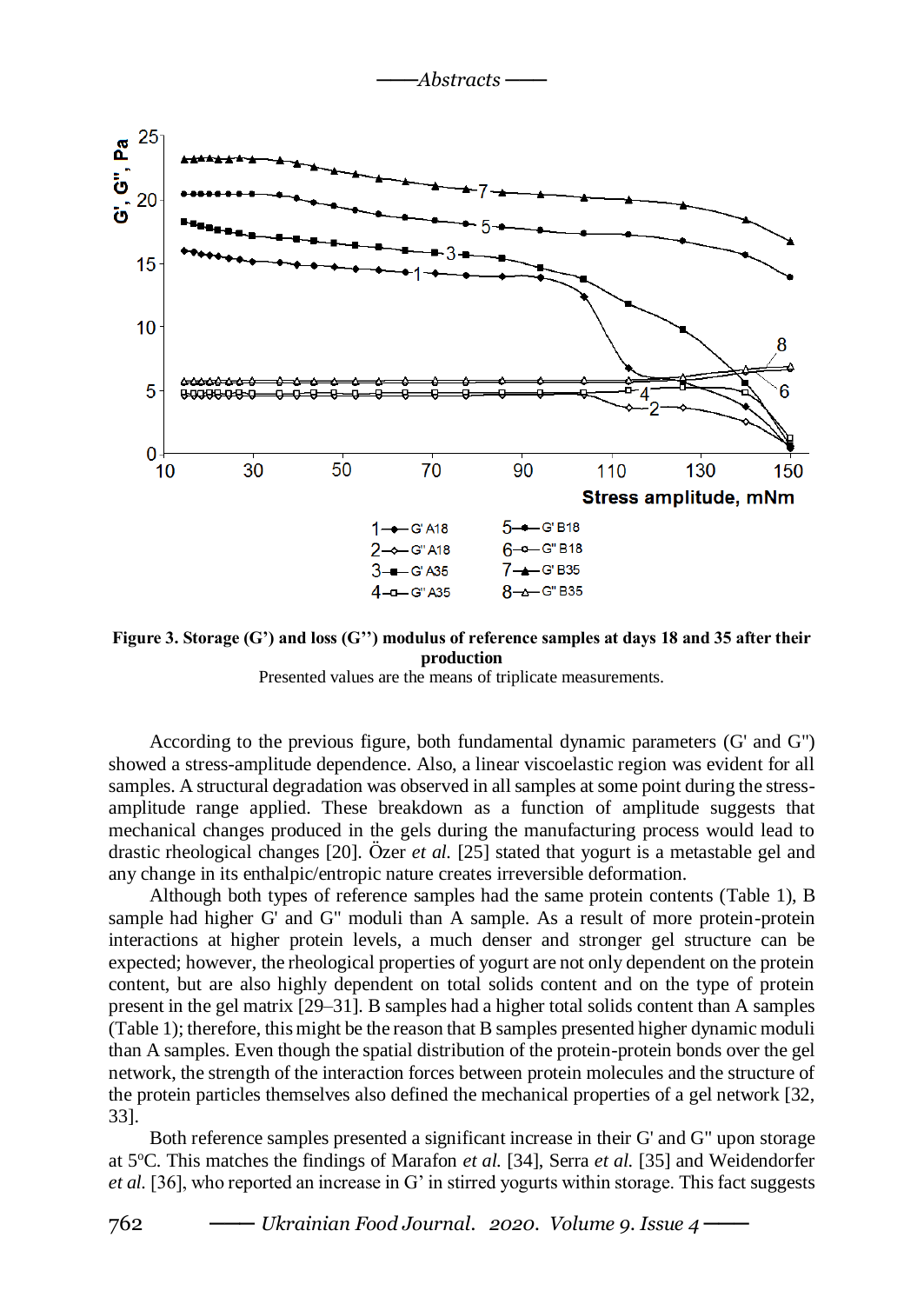*───Abstracts ───*



**Figure 3. Storage (G') and loss (G'') modulus of reference samples at days 18 and 35 after their production**

Presented values are the means of triplicate measurements.

According to the previous figure, both fundamental dynamic parameters (G' and G") showed a stress-amplitude dependence. Also, a linear viscoelastic region was evident for all samples. A structural degradation was observed in all samples at some point during the stressamplitude range applied. These breakdown as a function of amplitude suggests that mechanical changes produced in the gels during the manufacturing process would lead to drastic rheological changes [20]. Özer *et al.* [25] stated that yogurt is a metastable gel and any change in its enthalpic/entropic nature creates irreversible deformation.

Although both types of reference samples had the same protein contents (Table 1), B sample had higher G' and G" moduli than A sample. As a result of more protein-protein interactions at higher protein levels, a much denser and stronger gel structure can be expected; however, the rheological properties of yogurt are not only dependent on the protein content, but are also highly dependent on total solids content and on the type of protein present in the gel matrix [29–31]. B samples had a higher total solids content than A samples (Table 1); therefore, this might be the reason that B samples presented higher dynamic moduli than A samples. Even though the spatial distribution of the protein-protein bonds over the gel network, the strength of the interaction forces between protein molecules and the structure of the protein particles themselves also defined the mechanical properties of a gel network [32, 33].

Both reference samples presented a significant increase in their G' and G" upon storage at 5<sup>o</sup>C. This matches the findings of Marafon *et al.* [34], Serra *et al.* [35] and Weidendorfer *et al.* [36], who reported an increase in G' in stirred yogurts within storage. This fact suggests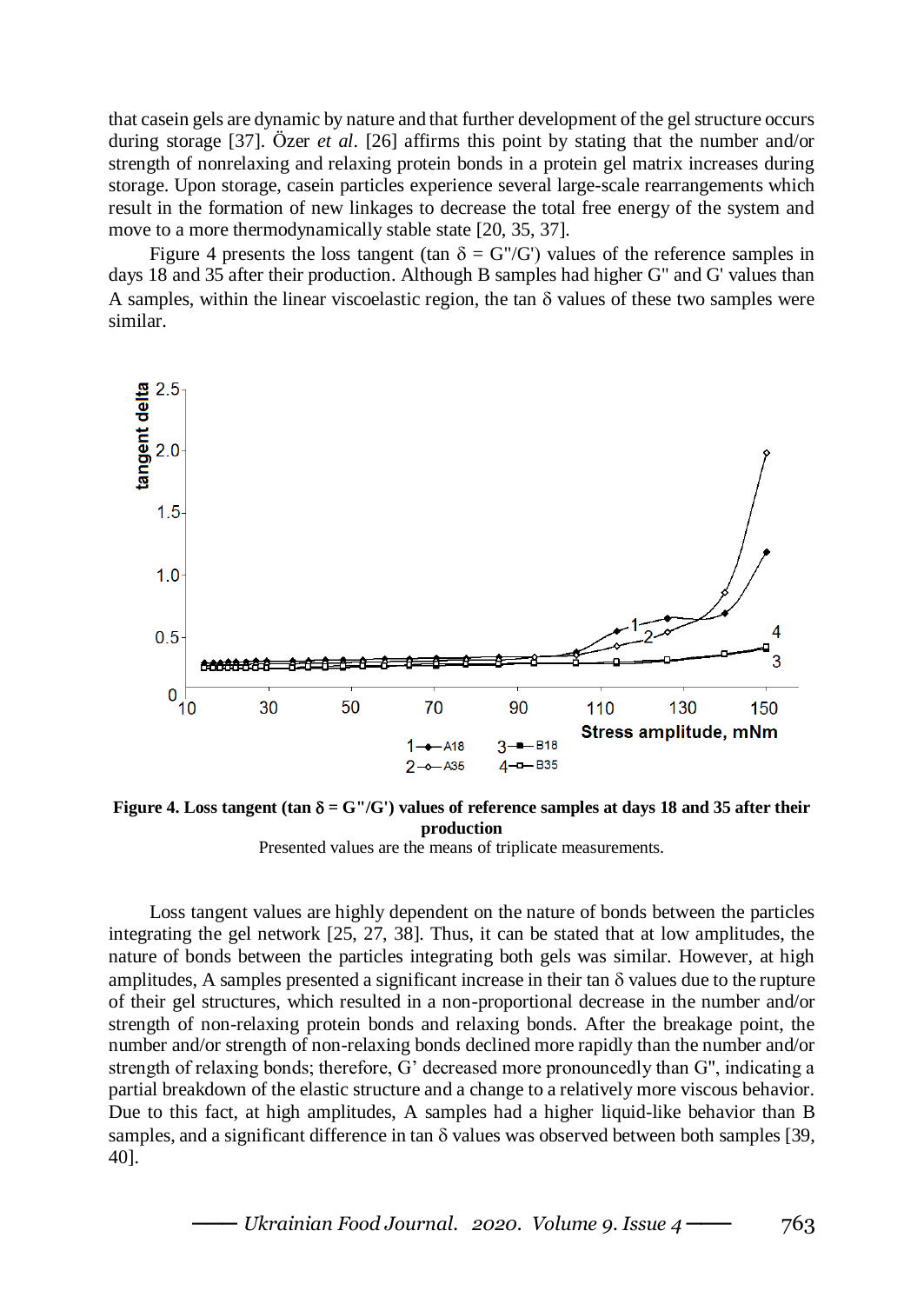that casein gels are dynamic by nature and that further development of the gel structure occurs during storage [37]. Özer *et al*. [26] affirms this point by stating that the number and/or strength of nonrelaxing and relaxing protein bonds in a protein gel matrix increases during storage. Upon storage, casein particles experience several large-scale rearrangements which result in the formation of new linkages to decrease the total free energy of the system and move to a more thermodynamically stable state [20, 35, 37].

Figure 4 presents the loss tangent (tan  $\delta = G''/G'$ ) values of the reference samples in days 18 and 35 after their production. Although B samples had higher G" and G' values than A samples, within the linear viscoelastic region, the tan  $\delta$  values of these two samples were similar.



Figure 4. Loss tangent (tan  $\delta = G''/G'$ ) values of reference samples at days 18 and 35 after their **production**

Presented values are the means of triplicate measurements.

Loss tangent values are highly dependent on the nature of bonds between the particles integrating the gel network [25, 27, 38]. Thus, it can be stated that at low amplitudes, the nature of bonds between the particles integrating both gels was similar. However, at high amplitudes, A samples presented a significant increase in their tan  $\delta$  values due to the rupture of their gel structures, which resulted in a non-proportional decrease in the number and/or strength of non-relaxing protein bonds and relaxing bonds. After the breakage point, the number and/or strength of non-relaxing bonds declined more rapidly than the number and/or strength of relaxing bonds; therefore, G' decreased more pronouncedly than G", indicating a partial breakdown of the elastic structure and a change to a relatively more viscous behavior. Due to this fact, at high amplitudes, A samples had a higher liquid-like behavior than B samples, and a significant difference in tan  $\delta$  values was observed between both samples [39, 40].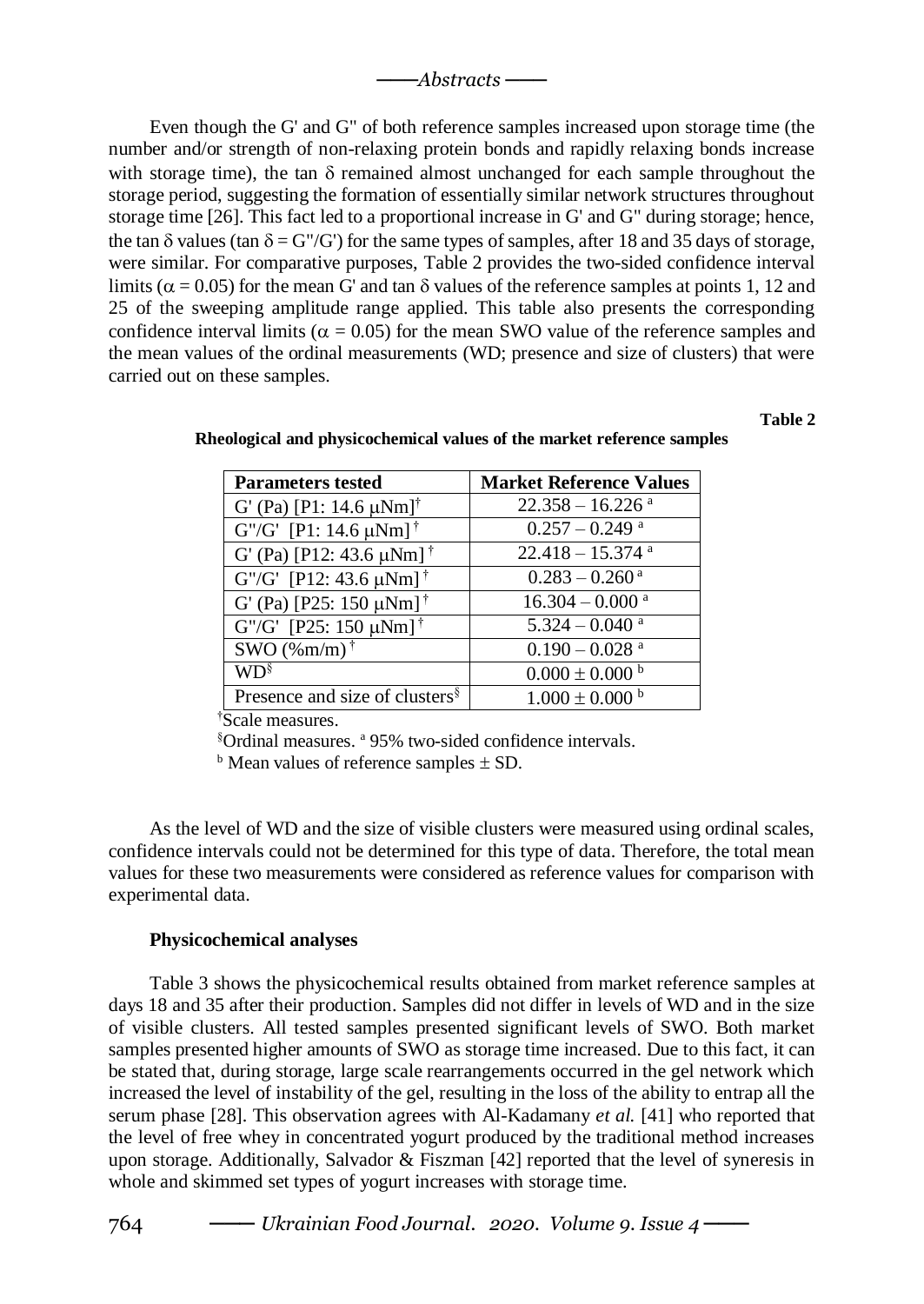Even though the G' and G" of both reference samples increased upon storage time (the number and/or strength of non-relaxing protein bonds and rapidly relaxing bonds increase with storage time), the tan  $\delta$  remained almost unchanged for each sample throughout the storage period, suggesting the formation of essentially similar network structures throughout storage time [26]. This fact led to a proportional increase in G' and G" during storage; hence, the tan  $\delta$  values (tan  $\delta = G''/G'$ ) for the same types of samples, after 18 and 35 days of storage, were similar. For comparative purposes, Table 2 provides the two-sided confidence interval limits ( $\alpha$  = 0.05) for the mean G' and tan  $\delta$  values of the reference samples at points 1, 12 and 25 of the sweeping amplitude range applied. This table also presents the corresponding confidence interval limits ( $\alpha = 0.05$ ) for the mean SWO value of the reference samples and the mean values of the ordinal measurements (WD; presence and size of clusters) that were carried out on these samples.

#### **Table 2**

| <b>Parameters tested</b>                   | <b>Market Reference Values</b> |  |
|--------------------------------------------|--------------------------------|--|
| G' (Pa) [P1: 14.6 $\mu$ Nm] <sup>†</sup>   | $22.358 - 16.226$ <sup>a</sup> |  |
| $G''/G'$ [P1: 14.6 $\mu$ Nm] <sup>†</sup>  | $0.257 - 0.249$ <sup>a</sup>   |  |
| G' (Pa) [P12: 43.6 $\mu$ Nm] <sup>†</sup>  | $22.418 - 15.374$ <sup>a</sup> |  |
| G"/G" [P12: 43.6 $\mu$ Nm] <sup>†</sup>    | $0.283 - 0.260$ <sup>a</sup>   |  |
| G' (Pa) [P25: 150 $\mu$ Nm] <sup>†</sup>   | $16.304 - 0.000$ <sup>a</sup>  |  |
| G"/G' [P25: 150 $\mu$ Nm] <sup>†</sup>     | $5.324 - 0.040$ <sup>a</sup>   |  |
| SWO $(\%m/m)$ <sup>†</sup>                 | $0.190 - 0.028$ <sup>a</sup>   |  |
| WD§                                        | $0.000 \pm 0.000$ b            |  |
| Presence and size of clusters <sup>§</sup> | $1.000 \pm 0.000$ b            |  |

**Rheological and physicochemical values of the market reference samples**

†Scale measures.

§Ordinal measures. <sup>a</sup> 95% two-sided confidence intervals.

 $<sup>b</sup>$  Mean values of reference samples  $\pm$  SD.</sup>

As the level of WD and the size of visible clusters were measured using ordinal scales, confidence intervals could not be determined for this type of data. Therefore, the total mean values for these two measurements were considered as reference values for comparison with experimental data.

#### **Physicochemical analyses**

Table 3 shows the physicochemical results obtained from market reference samples at days 18 and 35 after their production. Samples did not differ in levels of WD and in the size of visible clusters. All tested samples presented significant levels of SWO. Both market samples presented higher amounts of SWO as storage time increased. Due to this fact, it can be stated that, during storage, large scale rearrangements occurred in the gel network which increased the level of instability of the gel, resulting in the loss of the ability to entrap all the serum phase [28]. This observation agrees with Al-Kadamany *et al.* [41] who reported that the level of free whey in concentrated yogurt produced by the traditional method increases upon storage. Additionally, Salvador & Fiszman [42] reported that the level of syneresis in whole and skimmed set types of yogurt increases with storage time.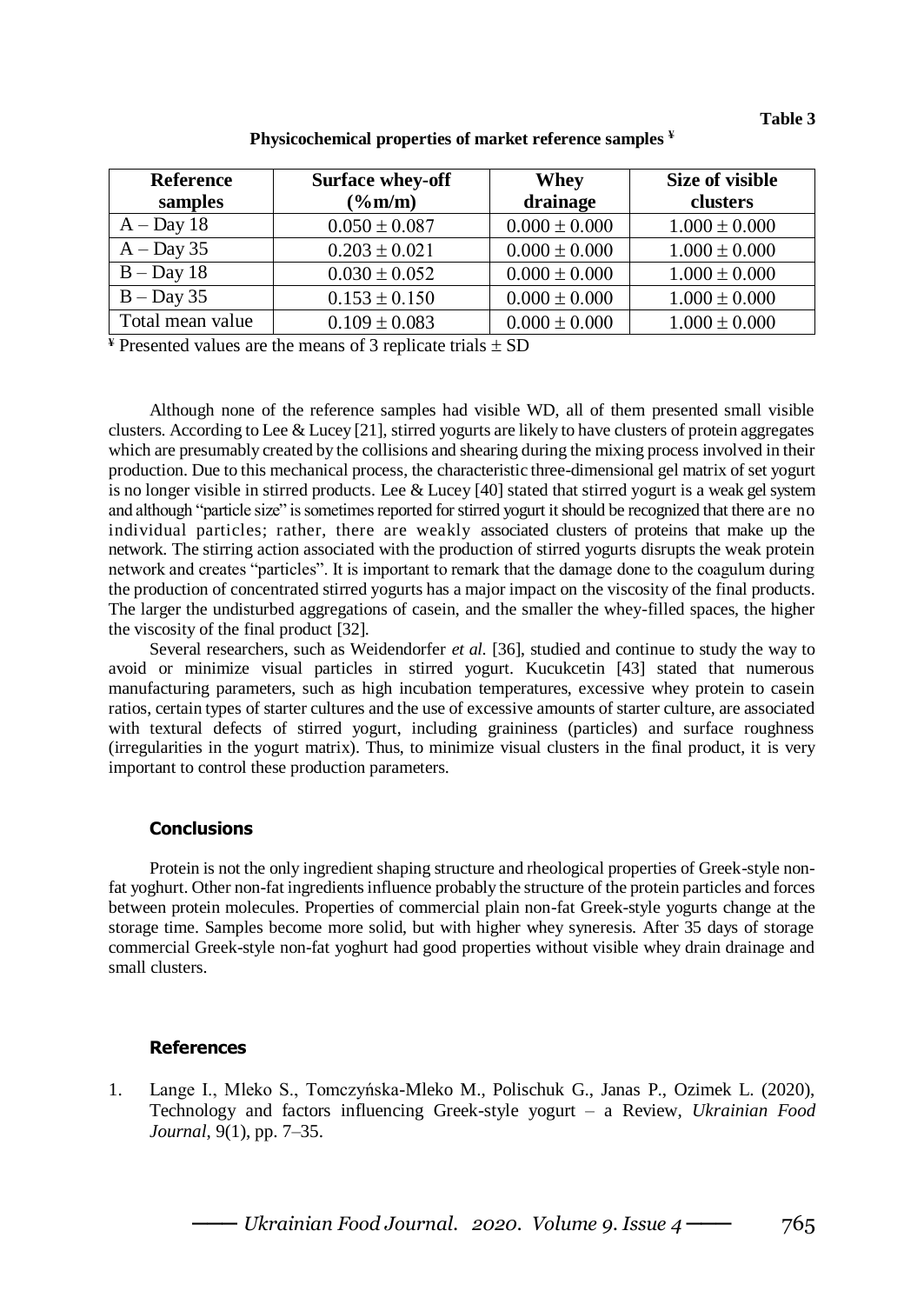| <b>Reference</b> | <b>Surface whey-off</b> | Whey              | Size of visible   |
|------------------|-------------------------|-------------------|-------------------|
| samples          | $(\%m/m)$               | drainage          | clusters          |
| $A$ – Day 18     | $0.050 \pm 0.087$       | $0.000 \pm 0.000$ | $1.000 \pm 0.000$ |
| $A$ – Day 35     | $0.203 \pm 0.021$       | $0.000 \pm 0.000$ | $1.000 \pm 0.000$ |
| $B - Day 18$     | $0.030 \pm 0.052$       | $0.000 \pm 0.000$ | $1.000 \pm 0.000$ |
| $B - Day 35$     | $0.153 \pm 0.150$       | $0.000 \pm 0.000$ | $1.000 \pm 0.000$ |
| Total mean value | $0.109 \pm 0.083$       | $0.000 \pm 0.000$ | $1.000 \pm 0.000$ |

### **Physicochemical properties of market reference samples ¥**

 $*$  Presented values are the means of 3 replicate trials  $\pm$  SD

Although none of the reference samples had visible WD, all of them presented small visible clusters. According to Lee & Lucey [21], stirred yogurts are likely to have clusters of protein aggregates which are presumably created by the collisions and shearing during the mixing process involved in their production. Due to this mechanical process, the characteristic three-dimensional gel matrix of set yogurt is no longer visible in stirred products. Lee & Lucey [40] stated that stirred yogurt is a weak gel system and although "particle size" is sometimes reported for stirred yogurt it should be recognized that there are no individual particles; rather, there are weakly associated clusters of proteins that make up the network. The stirring action associated with the production of stirred yogurts disrupts the weak protein network and creates "particles". It is important to remark that the damage done to the coagulum during the production of concentrated stirred yogurts has a major impact on the viscosity of the final products. The larger the undisturbed aggregations of casein, and the smaller the whey-filled spaces, the higher the viscosity of the final product [32].

Several researchers, such as Weidendorfer *et al.* [36], studied and continue to study the way to avoid or minimize visual particles in stirred yogurt. Kucukcetin [43] stated that numerous manufacturing parameters, such as high incubation temperatures, excessive whey protein to casein ratios, certain types of starter cultures and the use of excessive amounts of starter culture, are associated with textural defects of stirred yogurt, including graininess (particles) and surface roughness (irregularities in the yogurt matrix). Thus, to minimize visual clusters in the final product, it is very important to control these production parameters.

#### **Conclusions**

Protein is not the only ingredient shaping structure and rheological properties of Greek-style nonfat yoghurt. Other non-fat ingredients influence probably the structure of the protein particles and forces between protein molecules. Properties of commercial plain non-fat Greek-style yogurts change at the storage time. Samples become more solid, but with higher whey syneresis. After 35 days of storage commercial Greek-style non-fat yoghurt had good properties without visible whey drain drainage and small clusters.

#### **References**

1. Lange I., Mleko S., Tomczyńska-Mleko M., Polischuk G., Janas P., Ozimek L. (2020), Technology and factors influencing Greek-style yogurt – a Review, *Ukrainian Food Journal*, 9(1), pp. 7–35.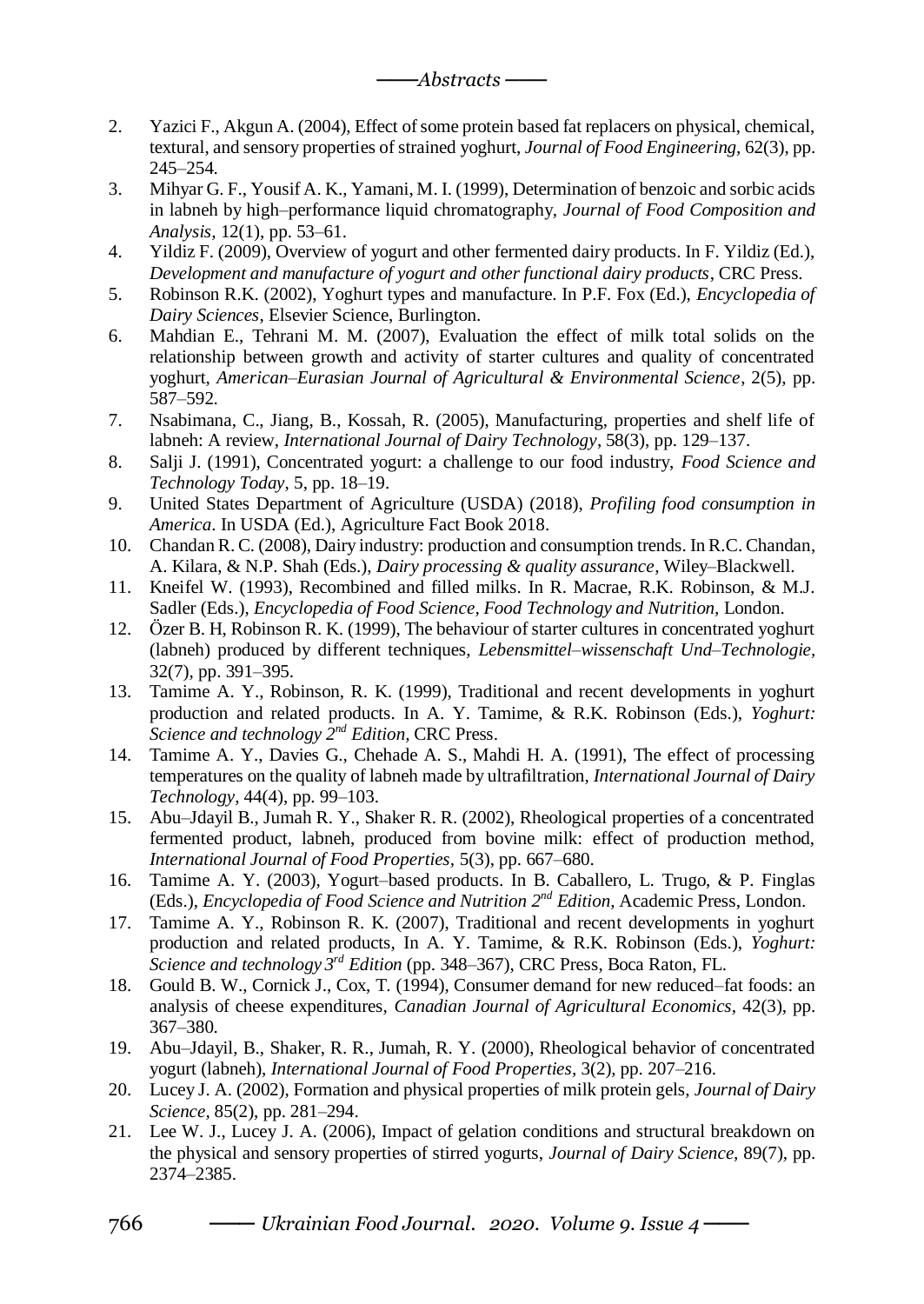- 2. Yazici F., Akgun A. (2004), Effect of some protein based fat replacers on physical, chemical, textural, and sensory properties of strained yoghurt, *Journal of Food Engineering,* 62(3), pp. 245–254.
- 3. Mihyar G. F., Yousif A. K., Yamani, M. I. (1999), Determination of benzoic and sorbic acids in labneh by high–performance liquid chromatography, *Journal of Food Composition and Analysis,* 12(1), pp. 53–61.
- 4. Yildiz F. (2009), Overview of yogurt and other fermented dairy products. In F. Yildiz (Ed.), *Development and manufacture of yogurt and other functional dairy products*, CRC Press.
- 5. Robinson R.K. (2002), Yoghurt types and manufacture. In P.F. Fox (Ed.), *Encyclopedia of Dairy Sciences*, Elsevier Science, Burlington.
- 6. Mahdian E., Tehrani M. M. (2007), Evaluation the effect of milk total solids on the relationship between growth and activity of starter cultures and quality of concentrated yoghurt, *American–Eurasian Journal of Agricultural & Environmental Science*, 2(5), pp. 587–592.
- 7. Nsabimana, C., Jiang, B., Kossah, R. (2005), Manufacturing, properties and shelf life of labneh: A review, *International Journal of Dairy Technology*, 58(3), pp. 129–137.
- 8. Salji J. (1991), Concentrated yogurt: a challenge to our food industry, *Food Science and Technology Today*, 5, pp. 18–19.
- 9. United States Department of Agriculture (USDA) (2018), *Profiling food consumption in America*. In USDA (Ed.), Agriculture Fact Book 2018.
- 10. Chandan R. C. (2008), Dairy industry: production and consumption trends. In R.C. Chandan, A. Kilara, & N.P. Shah (Eds.), *Dairy processing & quality assurance*, Wiley–Blackwell.
- 11. Kneifel W. (1993), Recombined and filled milks. In R. Macrae, R.K. Robinson, & M.J. Sadler (Eds.), *Encyclopedia of Food Science, Food Technology and Nutrition,* London.
- 12. Özer B. H, Robinson R. K. (1999), The behaviour of starter cultures in concentrated yoghurt (labneh) produced by different techniques, *Lebensmittel–wissenschaft Und–Technologie,*  32(7), pp. 391–395.
- 13. Tamime A. Y., Robinson, R. K. (1999), Traditional and recent developments in yoghurt production and related products. In A. Y. Tamime, & R.K. Robinson (Eds.), *Yoghurt: Science and technology 2nd Edition,* CRC Press.
- 14. Tamime A. Y., Davies G., Chehade A. S., Mahdi H. A. (1991), The effect of processing temperatures on the quality of labneh made by ultrafiltration, *International Journal of Dairy Technology*, 44(4), pp. 99–103.
- 15. Abu–Jdayil B., Jumah R. Y., Shaker R. R. (2002), Rheological properties of a concentrated fermented product, labneh, produced from bovine milk: effect of production method, *International Journal of Food Properties,* 5(3), pp. 667–680.
- 16. Tamime A. Y. (2003), Yogurt–based products. In B. Caballero, L. Trugo, & P. Finglas (Eds.), *Encyclopedia of Food Science and Nutrition 2nd Edition,* Academic Press, London.
- 17. Tamime A. Y., Robinson R. K. (2007), Traditional and recent developments in yoghurt production and related products, In A. Y. Tamime, & R.K. Robinson (Eds.), *Yoghurt: Science and technology 3 rd Edition* (pp. 348–367), CRC Press, Boca Raton, FL.
- 18. Gould B. W., Cornick J., Cox, T. (1994), Consumer demand for new reduced–fat foods: an analysis of cheese expenditures, *Canadian Journal of Agricultural Economics,* 42(3), pp. 367–380.
- 19. Abu–Jdayil, B., Shaker, R. R., Jumah, R. Y. (2000), Rheological behavior of concentrated yogurt (labneh), *International Journal of Food Properties,* 3(2), pp. 207–216.
- 20. Lucey J. A. (2002), Formation and physical properties of milk protein gels, *Journal of Dairy Science,* 85(2), pp. 281–294.
- 21. Lee W. J., Lucey J. A. (2006), Impact of gelation conditions and structural breakdown on the physical and sensory properties of stirred yogurts, *Journal of Dairy Science,* 89(7), pp. 2374–2385.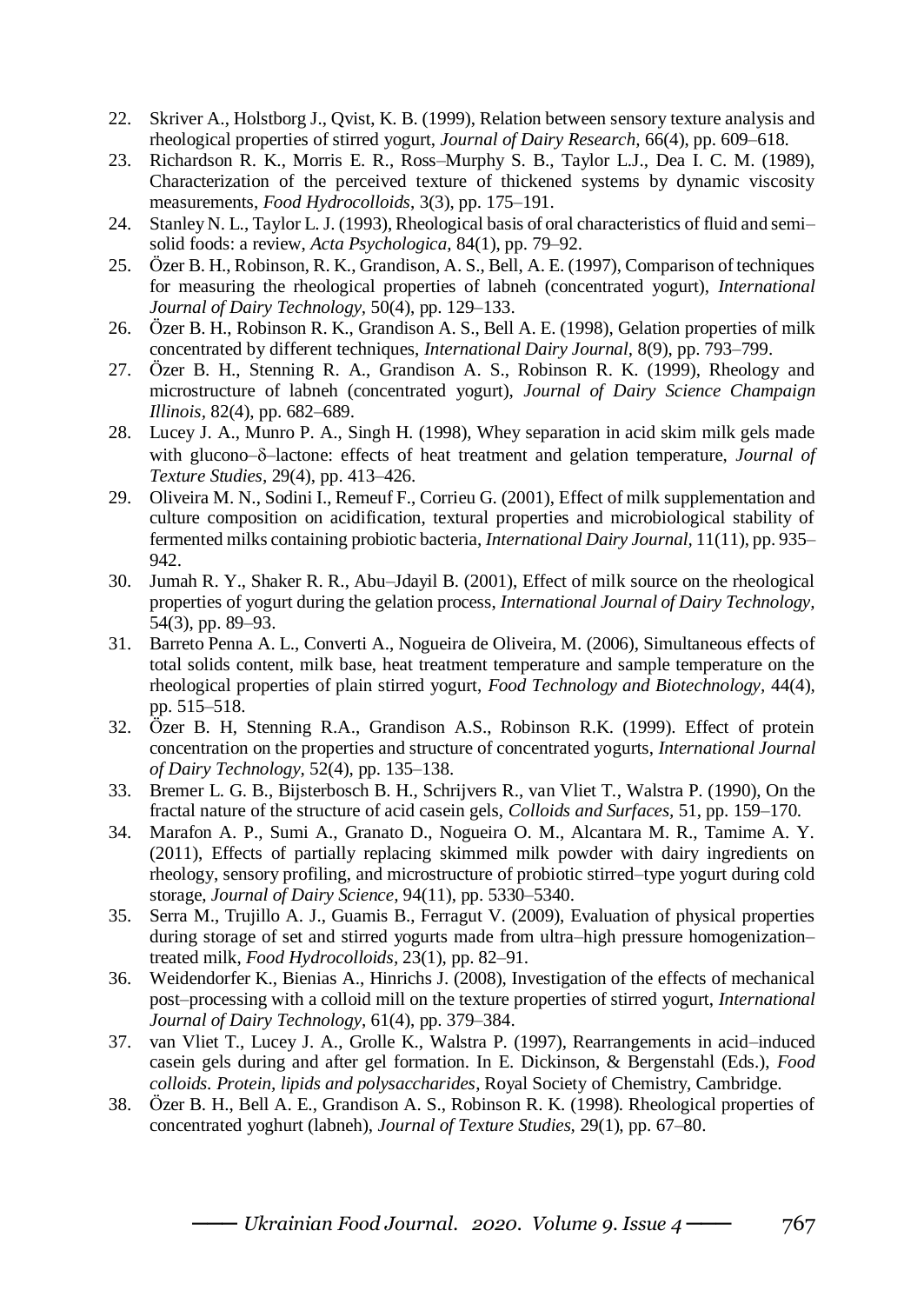- 22. Skriver A., Holstborg J., Qvist, K. B. (1999), Relation between sensory texture analysis and rheological properties of stirred yogurt, *Journal of Dairy Research,* 66(4), pp. 609–618.
- 23. Richardson R. K., Morris E. R., Ross–Murphy S. B., Taylor L.J., Dea I. C. M. (1989), Characterization of the perceived texture of thickened systems by dynamic viscosity measurements, *Food Hydrocolloids*, 3(3), pp. 175–191.
- 24. Stanley N. L., Taylor L. J. (1993), Rheological basis of oral characteristics of fluid and semi– solid foods: a review, *Acta Psychologica,* 84(1), pp. 79–92.
- 25. Özer B. H., Robinson, R. K., Grandison, A. S., Bell, A. E. (1997), Comparison of techniques for measuring the rheological properties of labneh (concentrated yogurt), *International Journal of Dairy Technology,* 50(4), pp. 129–133.
- 26. Özer B. H., Robinson R. K., Grandison A. S., Bell A. E. (1998), Gelation properties of milk concentrated by different techniques, *International Dairy Journal,* 8(9), pp. 793–799.
- 27. Özer B. H., Stenning R. A., Grandison A. S., Robinson R. K. (1999), Rheology and microstructure of labneh (concentrated yogurt), *Journal of Dairy Science Champaign Illinois,* 82(4), pp. 682–689.
- 28. Lucey J. A., Munro P. A., Singh H. (1998), Whey separation in acid skim milk gels made with glucono– $\delta$ –lactone: effects of heat treatment and gelation temperature, *Journal of Texture Studies,* 29(4), pp. 413–426.
- 29. Oliveira M. N., Sodini I., Remeuf F., Corrieu G. (2001), Effect of milk supplementation and culture composition on acidification, textural properties and microbiological stability of fermented milks containing probiotic bacteria, *International Dairy Journal,* 11(11), pp. 935– 942.
- 30. Jumah R. Y., Shaker R. R., Abu–Jdayil B. (2001), Effect of milk source on the rheological properties of yogurt during the gelation process, *International Journal of Dairy Technology,*  54(3), pp. 89–93.
- 31. Barreto Penna A. L., Converti A., Nogueira de Oliveira, M. (2006), Simultaneous effects of total solids content, milk base, heat treatment temperature and sample temperature on the rheological properties of plain stirred yogurt, *Food Technology and Biotechnology,* 44(4)*,*  pp. 515–518.
- 32. Özer B. H, Stenning R.A., Grandison A.S., Robinson R.K. (1999). Effect of protein concentration on the properties and structure of concentrated yogurts, *International Journal of Dairy Technology,* 52(4), pp. 135–138.
- 33. Bremer L. G. B., Bijsterbosch B. H., Schrijvers R., van Vliet T., Walstra P. (1990), On the fractal nature of the structure of acid casein gels, *Colloids and Surfaces,* 51, pp. 159–170.
- 34. Marafon A. P., Sumi A., Granato D., Nogueira O. M., Alcantara M. R., Tamime A. Y. (2011), Effects of partially replacing skimmed milk powder with dairy ingredients on rheology, sensory profiling, and microstructure of probiotic stirred–type yogurt during cold storage, *Journal of Dairy Science,* 94(11), pp. 5330–5340.
- 35. Serra M., Trujillo A. J., Guamis B., Ferragut V. (2009), Evaluation of physical properties during storage of set and stirred yogurts made from ultra–high pressure homogenization– treated milk, *Food Hydrocolloids,* 23(1), pp. 82–91.
- 36. Weidendorfer K., Bienias A., Hinrichs J. (2008), Investigation of the effects of mechanical post–processing with a colloid mill on the texture properties of stirred yogurt, *International Journal of Dairy Technology*, 61(4), pp. 379–384.
- 37. van Vliet T., Lucey J. A., Grolle K., Walstra P. (1997), Rearrangements in acid–induced casein gels during and after gel formation. In E. Dickinson, & Bergenstahl (Eds.), *Food colloids. Protein, lipids and polysaccharides*, Royal Society of Chemistry, Cambridge.
- 38. Özer B. H., Bell A. E., Grandison A. S., Robinson R. K. (1998). Rheological properties of concentrated yoghurt (labneh), *Journal of Texture Studies,* 29(1), pp. 67–80.